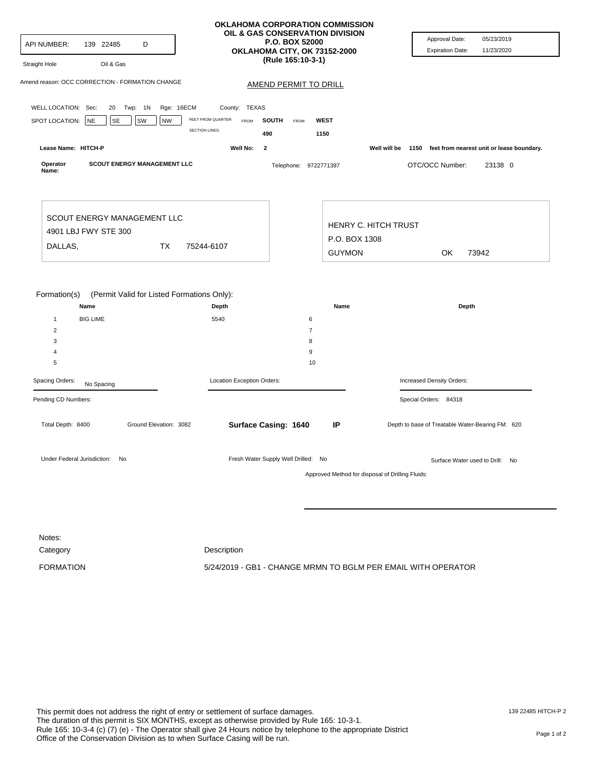| Amend reason: OCC CORRECTION - FORMATION CHANGE<br><b>AMEND PERMIT TO DRILL</b><br>WELL LOCATION: Sec:<br>Rge: 16ECM<br>20 Twp: 1N<br>County: TEXAS<br>FEET FROM QUARTER:<br>SPOT LOCATION: NE<br>SE<br>SW<br><b>NW</b><br><b>WEST</b><br><b>FROM</b><br>SOUTH<br>FROM<br><b>SECTION LINES:</b><br>490<br>1150<br>Lease Name: HITCH-P<br>Well No:<br>$\overline{\mathbf{2}}$<br>Well will be<br>Operator<br><b>SCOUT ENERGY MANAGEMENT LLC</b><br>OTC/OCC Number:<br>23138 0<br>Telephone: 9722771397<br>Name:<br>SCOUT ENERGY MANAGEMENT LLC<br>HENRY C. HITCH TRUST<br>4901 LBJ FWY STE 300<br>P.O. BOX 1308<br>DALLAS,<br>TX<br>75244-6107<br><b>GUYMON</b><br>73942<br>OK<br>Formation(s)<br>(Permit Valid for Listed Formations Only):<br>Name<br>Depth<br>Name<br>Depth<br><b>BIG LIME</b><br>5540<br>$\mathbf{1}$<br>6<br>$\overline{\mathbf{c}}$<br>$\overline{7}$<br>3<br>8<br>9<br>$\overline{4}$<br>$\sqrt{5}$<br>10<br>Spacing Orders:<br>Location Exception Orders:<br>Increased Density Orders:<br>No Spacing<br>Pending CD Numbers:<br>Special Orders: 84318<br>Total Depth: 8400<br>Ground Elevation: 3082<br>Surface Casing: 1640<br>IP<br>Depth to base of Treatable Water-Bearing FM: 620<br>Under Federal Jurisdiction: No<br>Fresh Water Supply Well Drilled: No<br>Surface Water used to Drill: No<br>Approved Method for disposal of Drilling Fluids:<br>Notes: | API NUMBER:<br>139 22485<br>D<br>Straight Hole<br>Oil & Gas |  |  |             | OKLAHOMA CORPORATION COMMISSION<br>OIL & GAS CONSERVATION DIVISION<br><b>P.O. BOX 52000</b><br>OKLAHOMA CITY, OK 73152-2000<br>(Rule 165:10-3-1) | Approval Date:<br>05/23/2019<br><b>Expiration Date:</b><br>11/23/2020 |
|----------------------------------------------------------------------------------------------------------------------------------------------------------------------------------------------------------------------------------------------------------------------------------------------------------------------------------------------------------------------------------------------------------------------------------------------------------------------------------------------------------------------------------------------------------------------------------------------------------------------------------------------------------------------------------------------------------------------------------------------------------------------------------------------------------------------------------------------------------------------------------------------------------------------------------------------------------------------------------------------------------------------------------------------------------------------------------------------------------------------------------------------------------------------------------------------------------------------------------------------------------------------------------------------------------------------------------------------------------------------------------------|-------------------------------------------------------------|--|--|-------------|--------------------------------------------------------------------------------------------------------------------------------------------------|-----------------------------------------------------------------------|
|                                                                                                                                                                                                                                                                                                                                                                                                                                                                                                                                                                                                                                                                                                                                                                                                                                                                                                                                                                                                                                                                                                                                                                                                                                                                                                                                                                                        |                                                             |  |  |             |                                                                                                                                                  |                                                                       |
|                                                                                                                                                                                                                                                                                                                                                                                                                                                                                                                                                                                                                                                                                                                                                                                                                                                                                                                                                                                                                                                                                                                                                                                                                                                                                                                                                                                        |                                                             |  |  |             |                                                                                                                                                  |                                                                       |
|                                                                                                                                                                                                                                                                                                                                                                                                                                                                                                                                                                                                                                                                                                                                                                                                                                                                                                                                                                                                                                                                                                                                                                                                                                                                                                                                                                                        |                                                             |  |  |             |                                                                                                                                                  |                                                                       |
|                                                                                                                                                                                                                                                                                                                                                                                                                                                                                                                                                                                                                                                                                                                                                                                                                                                                                                                                                                                                                                                                                                                                                                                                                                                                                                                                                                                        |                                                             |  |  |             |                                                                                                                                                  |                                                                       |
|                                                                                                                                                                                                                                                                                                                                                                                                                                                                                                                                                                                                                                                                                                                                                                                                                                                                                                                                                                                                                                                                                                                                                                                                                                                                                                                                                                                        |                                                             |  |  |             |                                                                                                                                                  | 1150 feet from nearest unit or lease boundary.                        |
|                                                                                                                                                                                                                                                                                                                                                                                                                                                                                                                                                                                                                                                                                                                                                                                                                                                                                                                                                                                                                                                                                                                                                                                                                                                                                                                                                                                        |                                                             |  |  |             |                                                                                                                                                  |                                                                       |
|                                                                                                                                                                                                                                                                                                                                                                                                                                                                                                                                                                                                                                                                                                                                                                                                                                                                                                                                                                                                                                                                                                                                                                                                                                                                                                                                                                                        |                                                             |  |  |             |                                                                                                                                                  |                                                                       |
|                                                                                                                                                                                                                                                                                                                                                                                                                                                                                                                                                                                                                                                                                                                                                                                                                                                                                                                                                                                                                                                                                                                                                                                                                                                                                                                                                                                        |                                                             |  |  |             |                                                                                                                                                  |                                                                       |
|                                                                                                                                                                                                                                                                                                                                                                                                                                                                                                                                                                                                                                                                                                                                                                                                                                                                                                                                                                                                                                                                                                                                                                                                                                                                                                                                                                                        |                                                             |  |  |             |                                                                                                                                                  |                                                                       |
|                                                                                                                                                                                                                                                                                                                                                                                                                                                                                                                                                                                                                                                                                                                                                                                                                                                                                                                                                                                                                                                                                                                                                                                                                                                                                                                                                                                        |                                                             |  |  |             |                                                                                                                                                  |                                                                       |
|                                                                                                                                                                                                                                                                                                                                                                                                                                                                                                                                                                                                                                                                                                                                                                                                                                                                                                                                                                                                                                                                                                                                                                                                                                                                                                                                                                                        |                                                             |  |  |             |                                                                                                                                                  |                                                                       |
|                                                                                                                                                                                                                                                                                                                                                                                                                                                                                                                                                                                                                                                                                                                                                                                                                                                                                                                                                                                                                                                                                                                                                                                                                                                                                                                                                                                        |                                                             |  |  |             |                                                                                                                                                  |                                                                       |
|                                                                                                                                                                                                                                                                                                                                                                                                                                                                                                                                                                                                                                                                                                                                                                                                                                                                                                                                                                                                                                                                                                                                                                                                                                                                                                                                                                                        |                                                             |  |  |             |                                                                                                                                                  |                                                                       |
|                                                                                                                                                                                                                                                                                                                                                                                                                                                                                                                                                                                                                                                                                                                                                                                                                                                                                                                                                                                                                                                                                                                                                                                                                                                                                                                                                                                        |                                                             |  |  |             |                                                                                                                                                  |                                                                       |
|                                                                                                                                                                                                                                                                                                                                                                                                                                                                                                                                                                                                                                                                                                                                                                                                                                                                                                                                                                                                                                                                                                                                                                                                                                                                                                                                                                                        |                                                             |  |  |             |                                                                                                                                                  |                                                                       |
|                                                                                                                                                                                                                                                                                                                                                                                                                                                                                                                                                                                                                                                                                                                                                                                                                                                                                                                                                                                                                                                                                                                                                                                                                                                                                                                                                                                        |                                                             |  |  |             |                                                                                                                                                  |                                                                       |
|                                                                                                                                                                                                                                                                                                                                                                                                                                                                                                                                                                                                                                                                                                                                                                                                                                                                                                                                                                                                                                                                                                                                                                                                                                                                                                                                                                                        |                                                             |  |  |             |                                                                                                                                                  |                                                                       |
|                                                                                                                                                                                                                                                                                                                                                                                                                                                                                                                                                                                                                                                                                                                                                                                                                                                                                                                                                                                                                                                                                                                                                                                                                                                                                                                                                                                        |                                                             |  |  |             |                                                                                                                                                  |                                                                       |
|                                                                                                                                                                                                                                                                                                                                                                                                                                                                                                                                                                                                                                                                                                                                                                                                                                                                                                                                                                                                                                                                                                                                                                                                                                                                                                                                                                                        |                                                             |  |  |             |                                                                                                                                                  |                                                                       |
|                                                                                                                                                                                                                                                                                                                                                                                                                                                                                                                                                                                                                                                                                                                                                                                                                                                                                                                                                                                                                                                                                                                                                                                                                                                                                                                                                                                        |                                                             |  |  |             |                                                                                                                                                  |                                                                       |
|                                                                                                                                                                                                                                                                                                                                                                                                                                                                                                                                                                                                                                                                                                                                                                                                                                                                                                                                                                                                                                                                                                                                                                                                                                                                                                                                                                                        |                                                             |  |  |             |                                                                                                                                                  |                                                                       |
|                                                                                                                                                                                                                                                                                                                                                                                                                                                                                                                                                                                                                                                                                                                                                                                                                                                                                                                                                                                                                                                                                                                                                                                                                                                                                                                                                                                        |                                                             |  |  |             |                                                                                                                                                  |                                                                       |
|                                                                                                                                                                                                                                                                                                                                                                                                                                                                                                                                                                                                                                                                                                                                                                                                                                                                                                                                                                                                                                                                                                                                                                                                                                                                                                                                                                                        |                                                             |  |  |             |                                                                                                                                                  |                                                                       |
|                                                                                                                                                                                                                                                                                                                                                                                                                                                                                                                                                                                                                                                                                                                                                                                                                                                                                                                                                                                                                                                                                                                                                                                                                                                                                                                                                                                        |                                                             |  |  |             |                                                                                                                                                  |                                                                       |
|                                                                                                                                                                                                                                                                                                                                                                                                                                                                                                                                                                                                                                                                                                                                                                                                                                                                                                                                                                                                                                                                                                                                                                                                                                                                                                                                                                                        | Category                                                    |  |  | Description |                                                                                                                                                  |                                                                       |

FORMATION 5/24/2019 - GB1 - CHANGE MRMN TO BGLM PER EMAIL WITH OPERATOR